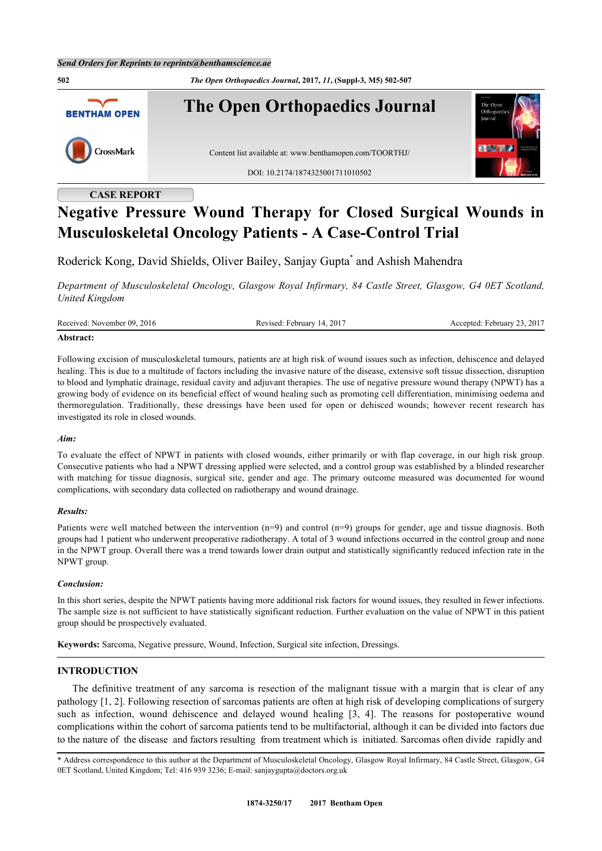

# **CASE REPORT**

# **Negative Pressure Wound Therapy for Closed Surgical Wounds in Musculoskeletal Oncology Patients - A Case-Control Trial**

Roderick Kong, David Shields, Oliver Bailey, Sanjay Gupta[\\*](#page-0-0) and Ashish Mahendra

*Department of Musculoskeletal Oncology, Glasgow Royal Infirmary, 84 Castle Street, Glasgow, G4 0ET Scotland, United Kingdom*

Received: November 09, 2016 Revised: February 14, 2017 Accepted: February 23, 2017

#### **Abstract:**

Following excision of musculoskeletal tumours, patients are at high risk of wound issues such as infection, dehiscence and delayed healing. This is due to a multitude of factors including the invasive nature of the disease, extensive soft tissue dissection, disruption to blood and lymphatic drainage, residual cavity and adjuvant therapies. The use of negative pressure wound therapy (NPWT) has a growing body of evidence on its beneficial effect of wound healing such as promoting cell differentiation, minimising oedema and thermoregulation. Traditionally, these dressings have been used for open or dehisced wounds; however recent research has investigated its role in closed wounds.

#### *Aim:*

To evaluate the effect of NPWT in patients with closed wounds, either primarily or with flap coverage, in our high risk group. Consecutive patients who had a NPWT dressing applied were selected, and a control group was established by a blinded researcher with matching for tissue diagnosis, surgical site, gender and age. The primary outcome measured was documented for wound complications, with secondary data collected on radiotherapy and wound drainage.

#### *Results:*

Patients were well matched between the intervention  $(n=9)$  and control  $(n=9)$  groups for gender, age and tissue diagnosis. Both groups had 1 patient who underwent preoperative radiotherapy. A total of 3 wound infections occurred in the control group and none in the NPWT group. Overall there was a trend towards lower drain output and statistically significantly reduced infection rate in the NPWT group.

#### *Conclusion:*

In this short series, despite the NPWT patients having more additional risk factors for wound issues, they resulted in fewer infections. The sample size is not sufficient to have statistically significant reduction. Further evaluation on the value of NPWT in this patient group should be prospectively evaluated.

**Keywords:** Sarcoma, Negative pressure, Wound, Infection, Surgical site infection, Dressings.

#### **INTRODUCTION**

The definitive treatment of any sarcoma is resection of the malignant tissue with a margin that is clear of any pathology [[1,](#page-4-0) [2](#page-4-1)]. Following resection of sarcomas patients are often at high risk of developing complications of surgery such as infection, wound dehiscence and delayed wound healing [\[3,](#page-4-2) [4](#page-4-3)]. The reasons for postoperative wound complications within the cohort of sarcoma patients tend to be multifactorial, although it can be divided into factors due to the nature of the disease and factors resulting from treatment which is initiated. Sarcomas often divide rapidly and

<span id="page-0-0"></span>\* Address correspondence to this author at the Department of Musculoskeletal Oncology, Glasgow Royal Infirmary, 84 Castle Street, Glasgow, G4 0ET Scotland, United Kingdom; Tel: 416 939 3236; E-mail: [sanjaygupta@doctors.org.uk](mailto:sanjaygupta@doctors.org.uk)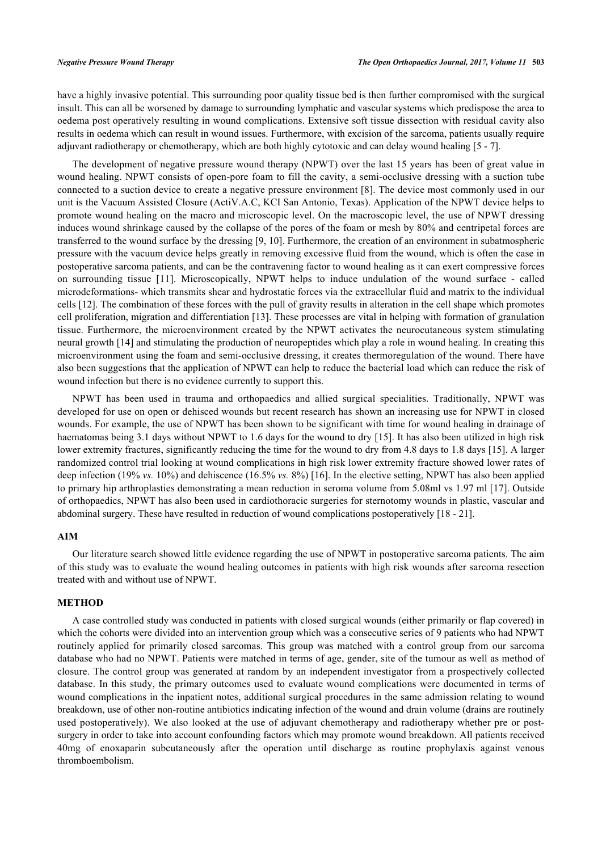have a highly invasive potential. This surrounding poor quality tissue bed is then further compromised with the surgical insult. This can all be worsened by damage to surrounding lymphatic and vascular systems which predispose the area to oedema post operatively resulting in wound complications. Extensive soft tissue dissection with residual cavity also results in oedema which can result in wound issues. Furthermore, with excision of the sarcoma, patients usually require adjuvant radiotherapy or chemotherapy, which are both highly cytotoxic and can delay wound healing [\[5](#page-4-4) - [7\]](#page-4-5).

The development of negative pressure wound therapy (NPWT) over the last 15 years has been of great value in wound healing. NPWT consists of open-pore foam to fill the cavity, a semi-occlusive dressing with a suction tube connected to a suction device to create a negative pressure environment [\[8\]](#page-4-6). The device most commonly used in our unit is the Vacuum Assisted Closure (ActiV.A.C, KCI San Antonio, Texas). Application of the NPWT device helps to promote wound healing on the macro and microscopic level. On the macroscopic level, the use of NPWT dressing induces wound shrinkage caused by the collapse of the pores of the foam or mesh by 80% and centripetal forces are transferred to the wound surface by the dressing [[9,](#page-4-7) [10\]](#page-4-8). Furthermore, the creation of an environment in subatmospheric pressure with the vacuum device helps greatly in removing excessive fluid from the wound, which is often the case in postoperative sarcoma patients, and can be the contravening factor to wound healing as it can exert compressive forces on surrounding tissue[[11](#page-4-9)]. Microscopically, NPWT helps to induce undulation of the wound surface - called microdeformations- which transmits shear and hydrostatic forces via the extracellular fluid and matrix to the individual cells [[12](#page-4-10)]. The combination of these forces with the pull of gravity results in alteration in the cell shape which promotes cell proliferation, migration and differentiation [[13\]](#page-4-11). These processes are vital in helping with formation of granulation tissue. Furthermore, the microenvironment created by the NPWT activates the neurocutaneous system stimulating neural growth [[14\]](#page-4-12) and stimulating the production of neuropeptides which play a role in wound healing. In creating this microenvironment using the foam and semi-occlusive dressing, it creates thermoregulation of the wound. There have also been suggestions that the application of NPWT can help to reduce the bacterial load which can reduce the risk of wound infection but there is no evidence currently to support this.

NPWT has been used in trauma and orthopaedics and allied surgical specialities. Traditionally, NPWT was developed for use on open or dehisced wounds but recent research has shown an increasing use for NPWT in closed wounds. For example, the use of NPWT has been shown to be significant with time for wound healing in drainage of haematomas being 3.1 days without NPWT to 1.6 days for the wound to dry [[15](#page-4-13)]. It has also been utilized in high risk lower extremity fractures, significantly reducing the time for the wound to dry from 4.8 days to 1.8 days [\[15\]](#page-4-13). A larger randomized control trial looking at wound complications in high risk lower extremity fracture showed lower rates of deep infection (19% *vs.* 10%) and dehiscence (16.5% *vs.* 8%) [\[16](#page-4-14)]. In the elective setting, NPWT has also been applied to primary hip arthroplasties demonstrating a mean reduction in seroma volume from 5.08ml vs 1.97 ml [\[17](#page-4-15)]. Outside of orthopaedics, NPWT has also been used in cardiothoracic surgeries for sternotomy wounds in plastic, vascular and abdominal surgery. These have resulted in reduction of wound complications postoperatively [[18](#page-4-16) - [21\]](#page-5-0).

#### **AIM**

Our literature search showed little evidence regarding the use of NPWT in postoperative sarcoma patients. The aim of this study was to evaluate the wound healing outcomes in patients with high risk wounds after sarcoma resection treated with and without use of NPWT.

# **METHOD**

A case controlled study was conducted in patients with closed surgical wounds (either primarily or flap covered) in which the cohorts were divided into an intervention group which was a consecutive series of 9 patients who had NPWT routinely applied for primarily closed sarcomas. This group was matched with a control group from our sarcoma database who had no NPWT. Patients were matched in terms of age, gender, site of the tumour as well as method of closure. The control group was generated at random by an independent investigator from a prospectively collected database. In this study, the primary outcomes used to evaluate wound complications were documented in terms of wound complications in the inpatient notes, additional surgical procedures in the same admission relating to wound breakdown, use of other non-routine antibiotics indicating infection of the wound and drain volume (drains are routinely used postoperatively). We also looked at the use of adjuvant chemotherapy and radiotherapy whether pre or postsurgery in order to take into account confounding factors which may promote wound breakdown. All patients received 40mg of enoxaparin subcutaneously after the operation until discharge as routine prophylaxis against venous thromboembolism.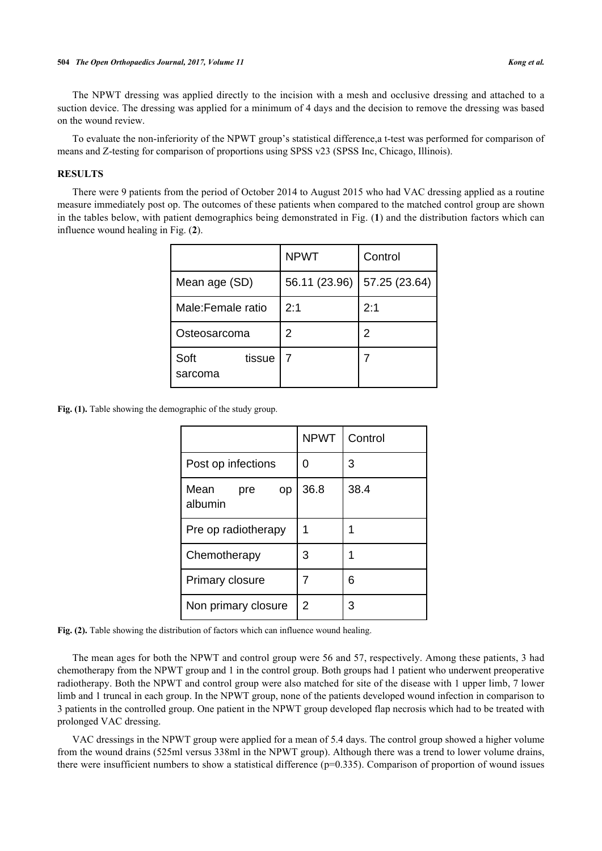The NPWT dressing was applied directly to the incision with a mesh and occlusive dressing and attached to a suction device. The dressing was applied for a minimum of 4 days and the decision to remove the dressing was based on the wound review.

To evaluate the non-inferiority of the NPWT group's statistical difference,a t-test was performed for comparison of means and Z-testing for comparison of proportions using SPSS v23 (SPSS Inc, Chicago, Illinois).

## **RESULTS**

<span id="page-2-0"></span>There were 9 patients from the period of October 2014 to August 2015 who had VAC dressing applied as a routine measure immediately post op. The outcomes of these patients when compared to the matched control group are shown in the tables below, with patient demographics being demonstrated in Fig. (**[1](#page-2-0)**) and the distribution factors which can influence wound healing in Fig. (**[2](#page-2-0)**).

|                           | <b>NPWT</b>   | Control       |  |
|---------------------------|---------------|---------------|--|
| Mean age (SD)             | 56.11 (23.96) | 57.25 (23.64) |  |
| Male:Female ratio         | 2:1           | 2:1           |  |
| Osteosarcoma              | 2             | 2             |  |
| Soft<br>tissue<br>sarcoma |               |               |  |

Fig. (1). Table showing the demographic of the study group.

|                              | <b>NPWT</b> | Control |
|------------------------------|-------------|---------|
| Post op infections           | Ω           | 3       |
| Mean<br>pre<br>op<br>albumin | 36.8        | 38.4    |
| Pre op radiotherapy          |             |         |
| Chemotherapy                 | 3           | 1       |
| Primary closure              | 7           | 6       |
| Non primary closure          | 2           | 3       |

Fig. (2). Table showing the distribution of factors which can influence wound healing.

The mean ages for both the NPWT and control group were 56 and 57, respectively. Among these patients, 3 had chemotherapy from the NPWT group and 1 in the control group. Both groups had 1 patient who underwent preoperative radiotherapy. Both the NPWT and control group were also matched for site of the disease with 1 upper limb, 7 lower limb and 1 truncal in each group. In the NPWT group, none of the patients developed wound infection in comparison to 3 patients in the controlled group. One patient in the NPWT group developed flap necrosis which had to be treated with prolonged VAC dressing.

VAC dressings in the NPWT group were applied for a mean of 5.4 days. The control group showed a higher volume from the wound drains (525ml versus 338ml in the NPWT group). Although there was a trend to lower volume drains, there were insufficient numbers to show a statistical difference  $(p=0.335)$ . Comparison of proportion of wound issues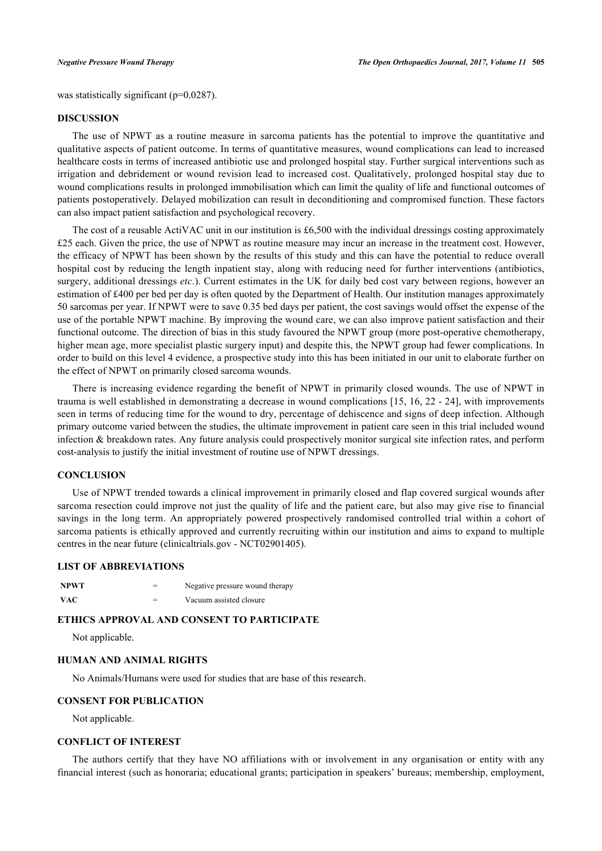was statistically significant (p=0.0287).

#### **DISCUSSION**

The use of NPWT as a routine measure in sarcoma patients has the potential to improve the quantitative and qualitative aspects of patient outcome. In terms of quantitative measures, wound complications can lead to increased healthcare costs in terms of increased antibiotic use and prolonged hospital stay. Further surgical interventions such as irrigation and debridement or wound revision lead to increased cost. Qualitatively, prolonged hospital stay due to wound complications results in prolonged immobilisation which can limit the quality of life and functional outcomes of patients postoperatively. Delayed mobilization can result in deconditioning and compromised function. These factors can also impact patient satisfaction and psychological recovery.

The cost of a reusable ActiVAC unit in our institution is £6,500 with the individual dressings costing approximately £25 each. Given the price, the use of NPWT as routine measure may incur an increase in the treatment cost. However, the efficacy of NPWT has been shown by the results of this study and this can have the potential to reduce overall hospital cost by reducing the length inpatient stay, along with reducing need for further interventions (antibiotics, surgery, additional dressings *etc*.). Current estimates in the UK for daily bed cost vary between regions, however an estimation of £400 per bed per day is often quoted by the Department of Health. Our institution manages approximately 50 sarcomas per year. If NPWT were to save 0.35 bed days per patient, the cost savings would offset the expense of the use of the portable NPWT machine. By improving the wound care, we can also improve patient satisfaction and their functional outcome. The direction of bias in this study favoured the NPWT group (more post-operative chemotherapy, higher mean age, more specialist plastic surgery input) and despite this, the NPWT group had fewer complications. In order to build on this level 4 evidence, a prospective study into this has been initiated in our unit to elaborate further on the effect of NPWT on primarily closed sarcoma wounds.

There is increasing evidence regarding the benefit of NPWT in primarily closed wounds. The use of NPWT in trauma is well established in demonstrating a decrease in wound complications [\[15,](#page-4-13) [16](#page-4-14), [22](#page-5-1) - [24](#page-5-2)], with improvements seen in terms of reducing time for the wound to dry, percentage of dehiscence and signs of deep infection. Although primary outcome varied between the studies, the ultimate improvement in patient care seen in this trial included wound infection & breakdown rates. Any future analysis could prospectively monitor surgical site infection rates, and perform cost-analysis to justify the initial investment of routine use of NPWT dressings.

# **CONCLUSION**

Use of NPWT trended towards a clinical improvement in primarily closed and flap covered surgical wounds after sarcoma resection could improve not just the quality of life and the patient care, but also may give rise to financial savings in the long term. An appropriately powered prospectively randomised controlled trial within a cohort of sarcoma patients is ethically approved and currently recruiting within our institution and aims to expand to multiple centres in the near future ([clinicaltrials.gov](https://clinicaltrials.gov) - NCT02901405).

# **LIST OF ABBREVIATIONS**

| <b>NPWT</b> |   | Negative pressure wound therapy |
|-------------|---|---------------------------------|
| <b>VAC</b>  | = | Vacuum assisted closure         |

# **ETHICS APPROVAL AND CONSENT TO PARTICIPATE**

Not applicable.

#### **HUMAN AND ANIMAL RIGHTS**

No Animals/Humans were used for studies that are base of this research.

# **CONSENT FOR PUBLICATION**

Not applicable.

#### **CONFLICT OF INTEREST**

The authors certify that they have NO affiliations with or involvement in any organisation or entity with any financial interest (such as honoraria; educational grants; participation in speakers' bureaus; membership, employment,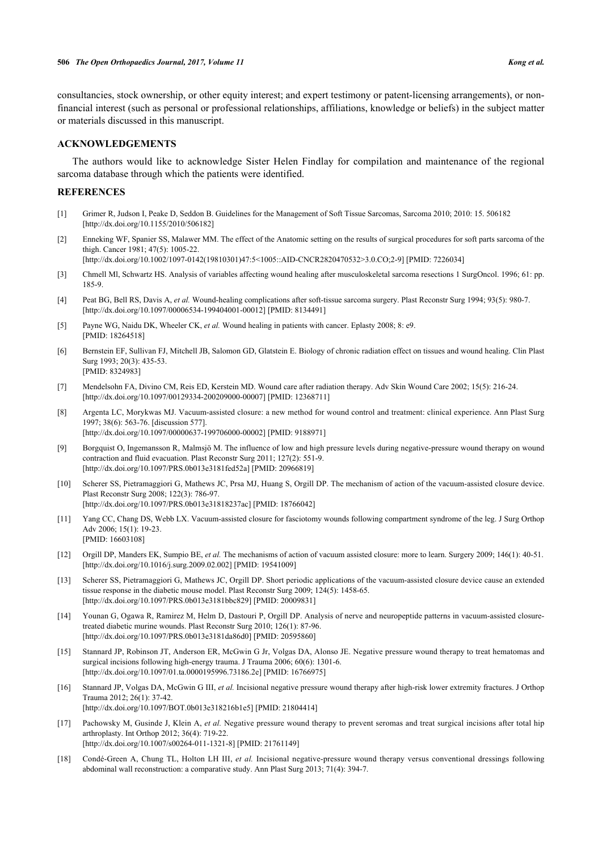consultancies, stock ownership, or other equity interest; and expert testimony or patent-licensing arrangements), or nonfinancial interest (such as personal or professional relationships, affiliations, knowledge or beliefs) in the subject matter or materials discussed in this manuscript.

#### **ACKNOWLEDGEMENTS**

The authors would like to acknowledge Sister Helen Findlay for compilation and maintenance of the regional sarcoma database through which the patients were identified.

# **REFERENCES**

- <span id="page-4-0"></span>[1] Grimer R, Judson I, Peake D, Seddon B. Guidelines for the Management of Soft Tissue Sarcomas, Sarcoma 2010; 2010: 15. 506182 [\[http://dx.doi.org/10.1155/2010/506182](http://dx.doi.org/10.1155/2010/506182)]
- <span id="page-4-1"></span>[2] Enneking WF, Spanier SS, Malawer MM. The effect of the Anatomic setting on the results of surgical procedures for soft parts sarcoma of the thigh. Cancer 1981; 47(5): 1005-22. [\[http://dx.doi.org/10.1002/1097-0142\(19810301\)47:5<1005::AID-CNCR2820470532>3.0.CO;2-9](http://dx.doi.org/10.1002/1097-0142(19810301)47:5<1005::AID-CNCR2820470532>3.0.CO;2-9)] [PMID: [7226034\]](http://www.ncbi.nlm.nih.gov/pubmed/7226034)
- <span id="page-4-2"></span>[3] Chmell Ml, Schwartz HS. Analysis of variables affecting wound healing after musculoskeletal sarcoma resections 1 SurgOncol. 1996; 61: pp. 185-9.
- <span id="page-4-3"></span>[4] Peat BG, Bell RS, Davis A, *et al.* Wound-healing complications after soft-tissue sarcoma surgery. Plast Reconstr Surg 1994; 93(5): 980-7. [\[http://dx.doi.org/10.1097/00006534-199404001-00012](http://dx.doi.org/10.1097/00006534-199404001-00012)] [PMID: [8134491\]](http://www.ncbi.nlm.nih.gov/pubmed/8134491)
- <span id="page-4-4"></span>[5] Payne WG, Naidu DK, Wheeler CK, *et al.* Wound healing in patients with cancer. Eplasty 2008; 8: e9. [PMID: [18264518\]](http://www.ncbi.nlm.nih.gov/pubmed/18264518)
- [6] Bernstein EF, Sullivan FJ, Mitchell JB, Salomon GD, Glatstein E. Biology of chronic radiation effect on tissues and wound healing. Clin Plast Surg 1993; 20(3): 435-53. [PMID: [8324983\]](http://www.ncbi.nlm.nih.gov/pubmed/8324983)
- <span id="page-4-5"></span>[7] Mendelsohn FA, Divino CM, Reis ED, Kerstein MD. Wound care after radiation therapy. Adv Skin Wound Care 2002; 15(5): 216-24. [\[http://dx.doi.org/10.1097/00129334-200209000-00007](http://dx.doi.org/10.1097/00129334-200209000-00007)] [PMID: [12368711\]](http://www.ncbi.nlm.nih.gov/pubmed/12368711)
- <span id="page-4-6"></span>[8] Argenta LC, Morykwas MJ. Vacuum-assisted closure: a new method for wound control and treatment: clinical experience. Ann Plast Surg 1997; 38(6): 563-76. [discussion 577]. [\[http://dx.doi.org/10.1097/00000637-199706000-00002](http://dx.doi.org/10.1097/00000637-199706000-00002)] [PMID: [9188971\]](http://www.ncbi.nlm.nih.gov/pubmed/9188971)
- <span id="page-4-7"></span>[9] Borgquist O, Ingemansson R, Malmsjö M. The influence of low and high pressure levels during negative-pressure wound therapy on wound contraction and fluid evacuation. Plast Reconstr Surg 2011; 127(2): 551-9. [\[http://dx.doi.org/10.1097/PRS.0b013e3181fed52a](http://dx.doi.org/10.1097/PRS.0b013e3181fed52a)] [PMID: [20966819\]](http://www.ncbi.nlm.nih.gov/pubmed/20966819)
- <span id="page-4-8"></span>[10] Scherer SS, Pietramaggiori G, Mathews JC, Prsa MJ, Huang S, Orgill DP. The mechanism of action of the vacuum-assisted closure device. Plast Reconstr Surg 2008; 122(3): 786-97. [\[http://dx.doi.org/10.1097/PRS.0b013e31818237ac\]](http://dx.doi.org/10.1097/PRS.0b013e31818237ac) [PMID: [18766042](http://www.ncbi.nlm.nih.gov/pubmed/18766042)]
- <span id="page-4-9"></span>[11] Yang CC, Chang DS, Webb LX. Vacuum-assisted closure for fasciotomy wounds following compartment syndrome of the leg. J Surg Orthop Adv 2006; 15(1): 19-23. [PMID: [16603108\]](http://www.ncbi.nlm.nih.gov/pubmed/16603108)
- <span id="page-4-10"></span>[12] Orgill DP, Manders EK, Sumpio BE, *et al.* The mechanisms of action of vacuum assisted closure: more to learn. Surgery 2009; 146(1): 40-51. [\[http://dx.doi.org/10.1016/j.surg.2009.02.002\]](http://dx.doi.org/10.1016/j.surg.2009.02.002) [PMID: [19541009](http://www.ncbi.nlm.nih.gov/pubmed/19541009)]
- <span id="page-4-11"></span>[13] Scherer SS, Pietramaggiori G, Mathews JC, Orgill DP. Short periodic applications of the vacuum-assisted closure device cause an extended tissue response in the diabetic mouse model. Plast Reconstr Surg 2009; 124(5): 1458-65. [\[http://dx.doi.org/10.1097/PRS.0b013e3181bbc829](http://dx.doi.org/10.1097/PRS.0b013e3181bbc829)] [PMID: [20009831\]](http://www.ncbi.nlm.nih.gov/pubmed/20009831)
- <span id="page-4-12"></span>[14] Younan G, Ogawa R, Ramirez M, Helm D, Dastouri P, Orgill DP. Analysis of nerve and neuropeptide patterns in vacuum-assisted closuretreated diabetic murine wounds. Plast Reconstr Surg 2010; 126(1): 87-96. [\[http://dx.doi.org/10.1097/PRS.0b013e3181da86d0](http://dx.doi.org/10.1097/PRS.0b013e3181da86d0)] [PMID: [20595860\]](http://www.ncbi.nlm.nih.gov/pubmed/20595860)
- <span id="page-4-13"></span>[15] Stannard JP, Robinson JT, Anderson ER, McGwin G Jr, Volgas DA, Alonso JE. Negative pressure wound therapy to treat hematomas and surgical incisions following high-energy trauma. J Trauma 2006; 60(6): 1301-6. [\[http://dx.doi.org/10.1097/01.ta.0000195996.73186.2e](http://dx.doi.org/10.1097/01.ta.0000195996.73186.2e)] [PMID: [16766975\]](http://www.ncbi.nlm.nih.gov/pubmed/16766975)
- <span id="page-4-14"></span>[16] Stannard JP, Volgas DA, McGwin G III, *et al.* Incisional negative pressure wound therapy after high-risk lower extremity fractures. J Orthop Trauma 2012; 26(1): 37-42. [\[http://dx.doi.org/10.1097/BOT.0b013e318216b1e5\]](http://dx.doi.org/10.1097/BOT.0b013e318216b1e5) [PMID: [21804414](http://www.ncbi.nlm.nih.gov/pubmed/21804414)]
- <span id="page-4-15"></span>[17] Pachowsky M, Gusinde J, Klein A, *et al.* Negative pressure wound therapy to prevent seromas and treat surgical incisions after total hip arthroplasty. Int Orthop 2012; 36(4): 719-22. [\[http://dx.doi.org/10.1007/s00264-011-1321-8\]](http://dx.doi.org/10.1007/s00264-011-1321-8) [PMID: [21761149](http://www.ncbi.nlm.nih.gov/pubmed/21761149)]
- <span id="page-4-16"></span>[18] Condé-Green A, Chung TL, Holton LH III, *et al.* Incisional negative-pressure wound therapy versus conventional dressings following abdominal wall reconstruction: a comparative study. Ann Plast Surg 2013; 71(4): 394-7.